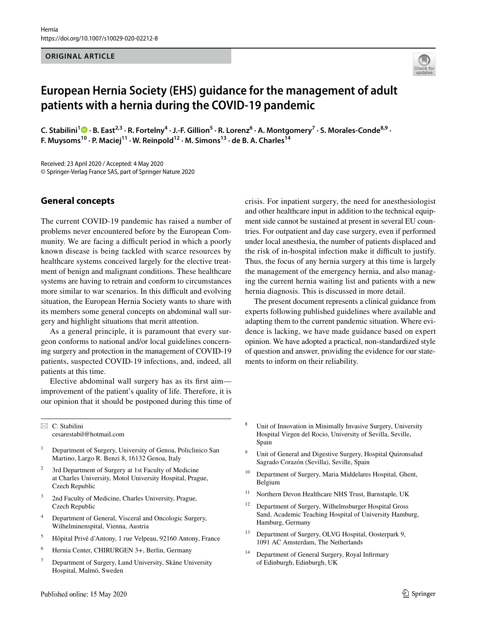#### **ORIGINAL ARTICLE**



# **European Hernia Society (EHS) guidance for the management of adult patients with a hernia during the COVID‑19 pandemic**

C. Stabilini<sup>[1](http://orcid.org/0000-0002-5410-0352)</sup> D · B. East<sup>2,3</sup> · R. Fortelny<sup>4</sup> · J.-F. Gillion<sup>5</sup> · R. Lorenz<sup>6</sup> · A. Montgomery<sup>7</sup> · S. Morales-Conde<sup>8,9</sup> · **F. Muysoms<sup>10</sup> · P. Maciej<sup>11</sup> · W. Reinpold<sup>12</sup> · M. Simons<sup>13</sup> · de B. A. Charles<sup>14</sup>** 

Received: 23 April 2020 / Accepted: 4 May 2020 © Springer-Verlag France SAS, part of Springer Nature 2020

# **General concepts**

The current COVID-19 pandemic has raised a number of problems never encountered before by the European Community. We are facing a difficult period in which a poorly known disease is being tackled with scarce resources by healthcare systems conceived largely for the elective treatment of benign and malignant conditions. These healthcare systems are having to retrain and conform to circumstances more similar to war scenarios. In this difficult and evolving situation, the European Hernia Society wants to share with its members some general concepts on abdominal wall surgery and highlight situations that merit attention.

As a general principle, it is paramount that every surgeon conforms to national and/or local guidelines concerning surgery and protection in the management of COVID-19 patients, suspected COVID-19 infections, and, indeed, all patients at this time.

Elective abdominal wall surgery has as its frst aim improvement of the patient's quality of life. Therefore, it is our opinion that it should be postponed during this time of and other healthcare input in addition to the technical equipment side cannot be sustained at present in several EU countries. For outpatient and day case surgery, even if performed under local anesthesia, the number of patients displaced and the risk of in-hospital infection make it difficult to justify. Thus, the focus of any hernia surgery at this time is largely the management of the emergency hernia, and also managing the current hernia waiting list and patients with a new hernia diagnosis. This is discussed in more detail.

crisis. For inpatient surgery, the need for anesthesiologist

The present document represents a clinical guidance from experts following published guidelines where available and adapting them to the current pandemic situation. Where evidence is lacking, we have made guidance based on expert opinion. We have adopted a practical, non-standardized style of question and answer, providing the evidence for our statements to inform on their reliability.

 $\boxtimes$  C. Stabilini cesarestabil@hotmail.com

- <sup>1</sup> Department of Surgery, University of Genoa, Policlinico San Martino, Largo R. Benzi 8, 16132 Genoa, Italy
- 3rd Department of Surgery at 1st Faculty of Medicine at Charles University, Motol University Hospital, Prague, Czech Republic
- 2nd Faculty of Medicine, Charles University, Prague, Czech Republic
- <sup>4</sup> Department of General, Visceral and Oncologic Surgery, Wilhelminenspital, Vienna, Austria
- <sup>5</sup> Hôpital Privé d'Antony, 1 rue Velpeau, 92160 Antony, France
- <sup>6</sup> Hernia Center, CHIRURGEN 3+, Berlin, Germany
- <sup>7</sup> Department of Surgery, Lund University, Skåne University Hospital, Malmö, Sweden
- <sup>8</sup> Unit of Innovation in Minimally Invasive Surgery, University Hospital Virgen del Rocio, University of Sevilla, Seville, Spain
- Unit of General and Digestive Surgery, Hospital Quironsalud Sagrado Corazón (Sevilla), Seville, Spain
- <sup>10</sup> Department of Surgery, Maria Middelares Hospital, Ghent, Belgium
- <sup>11</sup> Northern Devon Healthcare NHS Trust, Barnstaple, UK
- <sup>12</sup> Department of Surgery, Wilhelmsburger Hospital Gross Sand, Academic Teaching Hospital of University Hamburg, Hamburg, Germany
- <sup>13</sup> Department of Surgery, OLVG Hospital, Oosterpark 9, 1091 AC Amsterdam, The Netherlands
- Department of General Surgery, Royal Infirmary of Edinburgh, Edinburgh, UK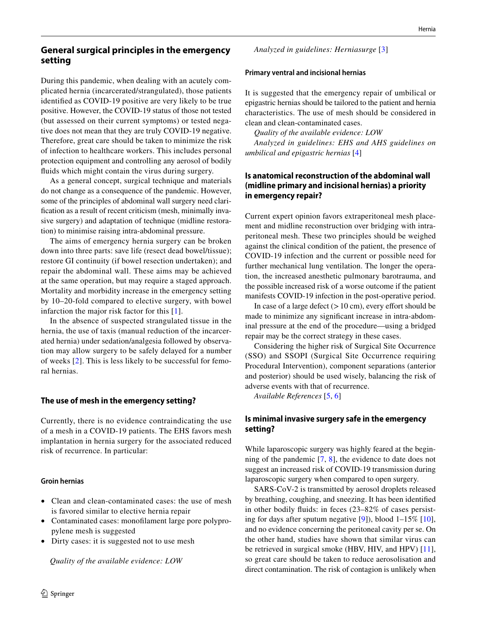# **General surgical principles in the emergency setting**

During this pandemic, when dealing with an acutely complicated hernia (incarcerated/strangulated), those patients identifed as COVID-19 positive are very likely to be true positive. However, the COVID-19 status of those not tested (but assessed on their current symptoms) or tested negative does not mean that they are truly COVID-19 negative. Therefore, great care should be taken to minimize the risk of infection to healthcare workers. This includes personal protection equipment and controlling any aerosol of bodily fuids which might contain the virus during surgery.

As a general concept, surgical technique and materials do not change as a consequence of the pandemic. However, some of the principles of abdominal wall surgery need clarifcation as a result of recent criticism (mesh, minimally invasive surgery) and adaptation of technique (midline restoration) to minimise raising intra-abdominal pressure.

The aims of emergency hernia surgery can be broken down into three parts: save life (resect dead bowel/tissue); restore GI continuity (if bowel resection undertaken); and repair the abdominal wall. These aims may be achieved at the same operation, but may require a staged approach. Mortality and morbidity increase in the emergency setting by 10–20-fold compared to elective surgery, with bowel infarction the major risk factor for this [\[1\]](#page-5-0).

In the absence of suspected strangulated tissue in the hernia, the use of taxis (manual reduction of the incarcerated hernia) under sedation/analgesia followed by observation may allow surgery to be safely delayed for a number of weeks [[2](#page-5-1)]. This is less likely to be successful for femoral hernias.

### **The use of mesh in the emergency setting?**

Currently, there is no evidence contraindicating the use of a mesh in a COVID-19 patients. The EHS favors mesh implantation in hernia surgery for the associated reduced risk of recurrence. In particular:

#### **Groin hernias**

- Clean and clean-contaminated cases: the use of mesh is favored similar to elective hernia repair
- Contaminated cases: monoflament large pore polypropylene mesh is suggested
- Dirty cases: it is suggested not to use mesh

*Quality of the available evidence: LOW*

*Analyzed in guidelines: Herniasurge* [\[3](#page-5-2)]

#### **Primary ventral and incisional hernias**

It is suggested that the emergency repair of umbilical or epigastric hernias should be tailored to the patient and hernia characteristics. The use of mesh should be considered in clean and clean-contaminated cases.

*Quality of the available evidence: LOW Analyzed in guidelines: EHS and AHS guidelines on umbilical and epigastric hernias* [\[4](#page-5-3)]

# **Is anatomical reconstruction of the abdominal wall (midline primary and incisional hernias) a priority in emergency repair?**

Current expert opinion favors extraperitoneal mesh placement and midline reconstruction over bridging with intraperitoneal mesh. These two principles should be weighed against the clinical condition of the patient, the presence of COVID-19 infection and the current or possible need for further mechanical lung ventilation. The longer the operation, the increased anesthetic pulmonary barotrauma, and the possible increased risk of a worse outcome if the patient manifests COVID-19 infection in the post-operative period.

In case of a large defect  $(>10 \text{ cm})$ , every effort should be made to minimize any signifcant increase in intra-abdominal pressure at the end of the procedure—using a bridged repair may be the correct strategy in these cases.

Considering the higher risk of Surgical Site Occurrence (SSO) and SSOPI (Surgical Site Occurrence requiring Procedural Intervention), component separations (anterior and posterior) should be used wisely, balancing the risk of adverse events with that of recurrence.

*Available References* [[5,](#page-5-4) [6\]](#page-5-5)

# **Is minimal invasive surgery safe in the emergency setting?**

While laparoscopic surgery was highly feared at the beginning of the pandemic [[7](#page-5-6), [8\]](#page-5-7), the evidence to date does not suggest an increased risk of COVID-19 transmission during laparoscopic surgery when compared to open surgery.

SARS-CoV-2 is transmitted by aerosol droplets released by breathing, coughing, and sneezing. It has been identifed in other bodily fuids: in feces (23–82% of cases persisting for days after sputum negative [\[9](#page-5-8)]), blood 1–15% [\[10](#page-5-9)], and no evidence concerning the peritoneal cavity per se. On the other hand, studies have shown that similar virus can be retrieved in surgical smoke (HBV, HIV, and HPV) [\[11](#page-5-10)], so great care should be taken to reduce aerosolisation and direct contamination. The risk of contagion is unlikely when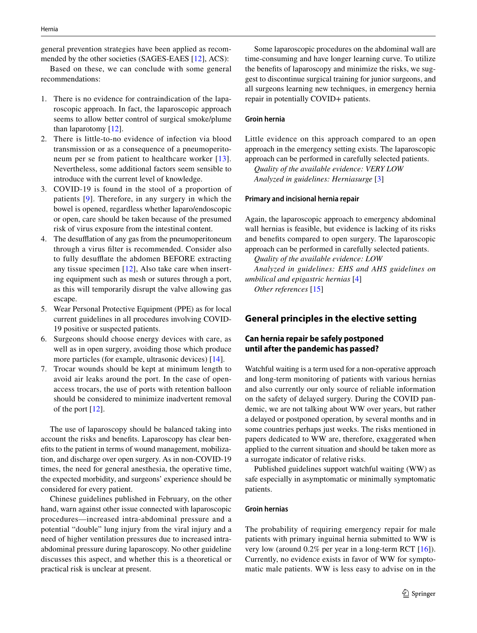general prevention strategies have been applied as recommended by the other societies (SAGES-EAES [\[12](#page-5-11)], ACS):

Based on these, we can conclude with some general recommendations:

- 1. There is no evidence for contraindication of the laparoscopic approach. In fact, the laparoscopic approach seems to allow better control of surgical smoke/plume than laparotomy [\[12\]](#page-5-11).
- 2. There is little-to-no evidence of infection via blood transmission or as a consequence of a pneumoperito-neum per se from patient to healthcare worker [[13\]](#page-5-12). Nevertheless, some additional factors seem sensible to introduce with the current level of knowledge.
- 3. COVID-19 is found in the stool of a proportion of patients [[9](#page-5-8)]. Therefore, in any surgery in which the bowel is opened, regardless whether laparo/endoscopic or open, care should be taken because of the presumed risk of virus exposure from the intestinal content.
- 4. The desufflation of any gas from the pneumoperitoneum through a virus flter is recommended. Consider also to fully desufflate the abdomen BEFORE extracting any tissue specimen [[12](#page-5-11)], Also take care when inserting equipment such as mesh or sutures through a port, as this will temporarily disrupt the valve allowing gas escape.
- 5. Wear Personal Protective Equipment (PPE) as for local current guidelines in all procedures involving COVID-19 positive or suspected patients.
- 6. Surgeons should choose energy devices with care, as well as in open surgery, avoiding those which produce more particles (for example, ultrasonic devices) [[14](#page-5-13)].
- 7. Trocar wounds should be kept at minimum length to avoid air leaks around the port. In the case of openaccess trocars, the use of ports with retention balloon should be considered to minimize inadvertent removal of the port [\[12](#page-5-11)].

The use of laparoscopy should be balanced taking into account the risks and benefts. Laparoscopy has clear benefts to the patient in terms of wound management, mobilization, and discharge over open surgery. As in non-COVID-19 times, the need for general anesthesia, the operative time, the expected morbidity, and surgeons' experience should be considered for every patient.

Chinese guidelines published in February, on the other hand, warn against other issue connected with laparoscopic procedures—increased intra-abdominal pressure and a potential "double" lung injury from the viral injury and a need of higher ventilation pressures due to increased intraabdominal pressure during laparoscopy. No other guideline discusses this aspect, and whether this is a theoretical or practical risk is unclear at present.

Some laparoscopic procedures on the abdominal wall are time-consuming and have longer learning curve. To utilize the benefts of laparoscopy and minimize the risks, we suggest to discontinue surgical training for junior surgeons, and all surgeons learning new techniques, in emergency hernia repair in potentially COVID+ patients.

### **Groin hernia**

Little evidence on this approach compared to an open approach in the emergency setting exists. The laparoscopic approach can be performed in carefully selected patients.

*Quality of the available evidence: VERY LOW Analyzed in guidelines: Herniasurge* [\[3](#page-5-2)]

### **Primary and incisional hernia repair**

Again, the laparoscopic approach to emergency abdominal wall hernias is feasible, but evidence is lacking of its risks and benefts compared to open surgery. The laparoscopic approach can be performed in carefully selected patients.

*Quality of the available evidence: LOW Analyzed in guidelines: EHS and AHS guidelines on umbilical and epigastric hernias* [\[4](#page-5-3)] *Other references* [[15\]](#page-5-14)

# **General principles in the elective setting**

# **Can hernia repair be safely postponed until after the pandemic has passed?**

Watchful waiting is a term used for a non-operative approach and long-term monitoring of patients with various hernias and also currently our only source of reliable information on the safety of delayed surgery. During the COVID pandemic, we are not talking about WW over years, but rather a delayed or postponed operation, by several months and in some countries perhaps just weeks. The risks mentioned in papers dedicated to WW are, therefore, exaggerated when applied to the current situation and should be taken more as a surrogate indicator of relative risks.

Published guidelines support watchful waiting (WW) as safe especially in asymptomatic or minimally symptomatic patients.

### **Groin hernias**

The probability of requiring emergency repair for male patients with primary inguinal hernia submitted to WW is very low (around 0.2% per year in a long-term RCT [[16](#page-5-15)]). Currently, no evidence exists in favor of WW for symptomatic male patients. WW is less easy to advise on in the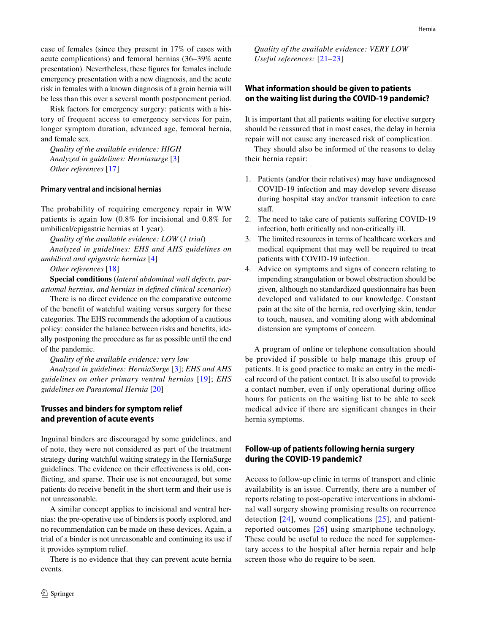case of females (since they present in 17% of cases with acute complications) and femoral hernias (36–39% acute presentation). Nevertheless, these fgures for females include emergency presentation with a new diagnosis, and the acute risk in females with a known diagnosis of a groin hernia will be less than this over a several month postponement period.

Risk factors for emergency surgery: patients with a history of frequent access to emergency services for pain, longer symptom duration, advanced age, femoral hernia, and female sex.

*Quality of the available evidence: HIGH Analyzed in guidelines: Herniasurge* [[3](#page-5-2)] *Other references* [\[17\]](#page-5-16)

#### **Primary ventral and incisional hernias**

The probability of requiring emergency repair in WW patients is again low (0.8% for incisional and 0.8% for umbilical/epigastric hernias at 1 year).

*Quality of the available evidence: LOW* (*1 trial*)

*Analyzed in guidelines: EHS and AHS guidelines on umbilical and epigastric hernias* [\[4](#page-5-3)]

*Other references* [\[18\]](#page-5-17)

**Special conditions** (*lateral abdominal wall defects, parastomal hernias, and hernias in defned clinical scenarios*)

There is no direct evidence on the comparative outcome of the beneft of watchful waiting versus surgery for these categories. The EHS recommends the adoption of a cautious policy: consider the balance between risks and benefts, ideally postponing the procedure as far as possible until the end of the pandemic.

*Quality of the available evidence: very low*

*Analyzed in guidelines: HerniaSurge* [[3\]](#page-5-2); *EHS and AHS guidelines on other primary ventral hernias* [\[19\]](#page-5-18); *EHS guidelines on Parastomal Hernia* [[20\]](#page-5-19)

# **Trusses and binders for symptom relief and prevention of acute events**

Inguinal binders are discouraged by some guidelines, and of note, they were not considered as part of the treatment strategy during watchful waiting strategy in the HerniaSurge guidelines. The evidence on their efectiveness is old, conficting, and sparse. Their use is not encouraged, but some patients do receive beneft in the short term and their use is not unreasonable.

A similar concept applies to incisional and ventral hernias: the pre-operative use of binders is poorly explored, and no recommendation can be made on these devices. Again, a trial of a binder is not unreasonable and continuing its use if it provides symptom relief.

There is no evidence that they can prevent acute hernia events.

*Quality of the available evidence: VERY LOW Useful references:* [[21](#page-6-0)[–23\]](#page-6-1)

### **What information should be given to patients on the waiting list during the COVID‑19 pandemic?**

It is important that all patients waiting for elective surgery should be reassured that in most cases, the delay in hernia repair will not cause any increased risk of complication.

They should also be informed of the reasons to delay their hernia repair:

- 1. Patients (and/or their relatives) may have undiagnosed COVID-19 infection and may develop severe disease during hospital stay and/or transmit infection to care staff.
- 2. The need to take care of patients sufering COVID-19 infection, both critically and non-critically ill.
- 3. The limited resources in terms of healthcare workers and medical equipment that may well be required to treat patients with COVID-19 infection.
- 4. Advice on symptoms and signs of concern relating to impending strangulation or bowel obstruction should be given, although no standardized questionnaire has been developed and validated to our knowledge. Constant pain at the site of the hernia, red overlying skin, tender to touch, nausea, and vomiting along with abdominal distension are symptoms of concern.

A program of online or telephone consultation should be provided if possible to help manage this group of patients. It is good practice to make an entry in the medical record of the patient contact. It is also useful to provide a contact number, even if only operational during office hours for patients on the waiting list to be able to seek medical advice if there are signifcant changes in their hernia symptoms.

# **Follow‑up of patients following hernia surgery during the COVID‑19 pandemic?**

Access to follow-up clinic in terms of transport and clinic availability is an issue. Currently, there are a number of reports relating to post-operative interventions in abdominal wall surgery showing promising results on recurrence detection [[24](#page-6-2)], wound complications [[25\]](#page-6-3), and patientreported outcomes [[26\]](#page-6-4) using smartphone technology. These could be useful to reduce the need for supplementary access to the hospital after hernia repair and help screen those who do require to be seen.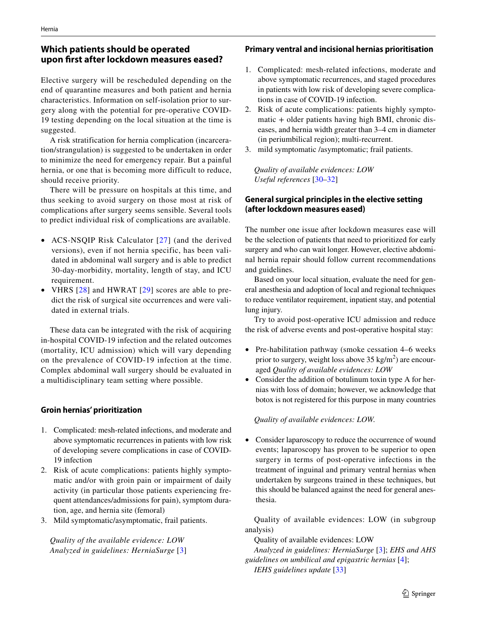# **Which patients should be operated upon frst after lockdown measures eased?**

Elective surgery will be rescheduled depending on the end of quarantine measures and both patient and hernia characteristics. Information on self-isolation prior to surgery along with the potential for pre-operative COVID-19 testing depending on the local situation at the time is suggested.

A risk stratification for hernia complication (incarceration/strangulation) is suggested to be undertaken in order to minimize the need for emergency repair. But a painful hernia, or one that is becoming more difficult to reduce, should receive priority.

There will be pressure on hospitals at this time, and thus seeking to avoid surgery on those most at risk of complications after surgery seems sensible. Several tools to predict individual risk of complications are available.

- ACS-NSQIP Risk Calculator [[27\]](#page-6-5) (and the derived versions), even if not hernia specific, has been validated in abdominal wall surgery and is able to predict 30-day-morbidity, mortality, length of stay, and ICU requirement.
- VHRS [\[28\]](#page-6-6) and HWRAT [[29](#page-6-7)] scores are able to predict the risk of surgical site occurrences and were validated in external trials.

These data can be integrated with the risk of acquiring in-hospital COVID-19 infection and the related outcomes (mortality, ICU admission) which will vary depending on the prevalence of COVID-19 infection at the time. Complex abdominal wall surgery should be evaluated in a multidisciplinary team setting where possible.

# **Groin hernias' prioritization**

- 1. Complicated: mesh-related infections, and moderate and above symptomatic recurrences in patients with low risk of developing severe complications in case of COVID-19 infection
- 2. Risk of acute complications: patients highly symptomatic and/or with groin pain or impairment of daily activity (in particular those patients experiencing frequent attendances/admissions for pain), symptom duration, age, and hernia site (femoral)
- 3. Mild symptomatic/asymptomatic, frail patients.

*Quality of the available evidence: LOW Analyzed in guidelines: HerniaSurge* [\[3\]](#page-5-2)

### **Primary ventral and incisional hernias prioritisation**

- 1. Complicated: mesh-related infections, moderate and above symptomatic recurrences, and staged procedures in patients with low risk of developing severe complications in case of COVID-19 infection.
- 2. Risk of acute complications: patients highly symptomatic + older patients having high BMI, chronic diseases, and hernia width greater than 3–4 cm in diameter (in periumbilical region); multi-recurrent.
- 3. mild symptomatic /asymptomatic; frail patients.

*Quality of available evidences: LOW Useful references* [\[30–](#page-6-8)[32\]](#page-6-9)

# **General surgical principles in the elective setting (after lockdown measures eased)**

The number one issue after lockdown measures ease will be the selection of patients that need to prioritized for early surgery and who can wait longer. However, elective abdominal hernia repair should follow current recommendations and guidelines.

Based on your local situation, evaluate the need for general anesthesia and adoption of local and regional techniques to reduce ventilator requirement, inpatient stay, and potential lung injury.

Try to avoid post-operative ICU admission and reduce the risk of adverse events and post-operative hospital stay:

- Pre-habilitation pathway (smoke cessation 4–6 weeks prior to surgery, weight loss above  $35 \text{ kg/m}^2$ ) are encouraged *Quality of available evidences: LOW*
- Consider the addition of botulinum toxin type A for hernias with loss of domain; however, we acknowledge that botox is not registered for this purpose in many countries

### *Quality of available evidences: LOW.*

• Consider laparoscopy to reduce the occurrence of wound events; laparoscopy has proven to be superior to open surgery in terms of post-operative infections in the treatment of inguinal and primary ventral hernias when undertaken by surgeons trained in these techniques, but this should be balanced against the need for general anesthesia.

Quality of available evidences: LOW (in subgroup analysis)

Quality of available evidences: LOW

*Analyzed in guidelines: HerniaSurge* [[3](#page-5-2)]; *EHS and AHS guidelines on umbilical and epigastric hernias* [[4](#page-5-3)]; *IEHS guidelines update* [\[33](#page-6-10)]

 $\mathcal{D}$  Springer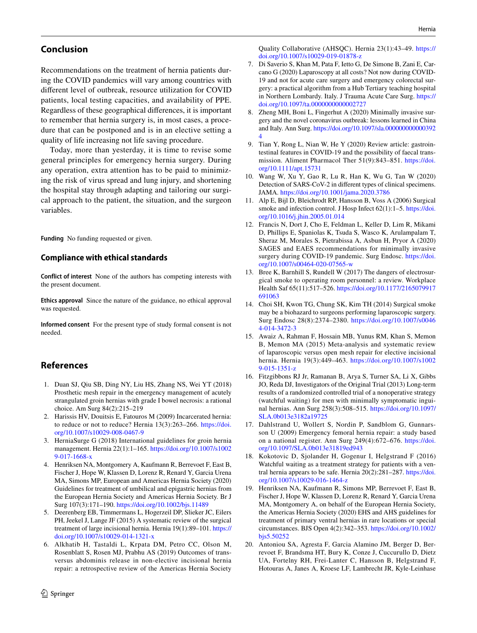# **Conclusion**

Recommendations on the treatment of hernia patients during the COVID pandemics will vary among countries with diferent level of outbreak, resource utilization for COVID patients, local testing capacities, and availability of PPE. Regardless of these geographical diferences, it is important to remember that hernia surgery is, in most cases, a procedure that can be postponed and is in an elective setting a quality of life increasing not life saving procedure.

Today, more than yesterday, it is time to revise some general principles for emergency hernia surgery. During any operation, extra attention has to be paid to minimizing the risk of virus spread and lung injury, and shortening the hospital stay through adapting and tailoring our surgical approach to the patient, the situation, and the surgeon variables.

**Funding** No funding requested or given.

# **Compliance with ethical standards**

**Conflict of interest** None of the authors has competing interests with the present document.

**Ethics approval** Since the nature of the guidance, no ethical approval was requested.

**Informed consent** For the present type of study formal consent is not needed.

# **References**

- <span id="page-5-0"></span>1. Duan SJ, Qiu SB, Ding NY, Liu HS, Zhang NS, Wei YT (2018) Prosthetic mesh repair in the emergency management of acutely strangulated groin hernias with grade I bowel necrosis: a rational choice. Am Surg 84(2):215–219
- <span id="page-5-1"></span>2. Harissis HV, Douitsis E, Fatouros M (2009) Incarcerated hernia: to reduce or not to reduce? Hernia 13(3):263–266. [https://doi.](https://doi.org/10.1007/s10029-008-0467-9) [org/10.1007/s10029-008-0467-9](https://doi.org/10.1007/s10029-008-0467-9)
- <span id="page-5-2"></span>3. HerniaSurge G (2018) International guidelines for groin hernia management. Hernia 22(1):1–165. [https://doi.org/10.1007/s1002](https://doi.org/10.1007/s10029-017-1668-x) [9-017-1668-x](https://doi.org/10.1007/s10029-017-1668-x)
- <span id="page-5-3"></span>4. Henriksen NA, Montgomery A, Kaufmann R, Berrevoet F, East B, Fischer J, Hope W, Klassen D, Lorenz R, Renard Y, Garcia Urena MA, Simons MP, European and Americas Hernia Society (2020) Guidelines for treatment of umbilical and epigastric hernias from the European Hernia Society and Americas Hernia Society. Br J Surg 107(3):171–190. <https://doi.org/10.1002/bjs.11489>
- <span id="page-5-4"></span>5. Deerenberg EB, Timmermans L, Hogerzeil DP, Slieker JC, Eilers PH, Jeekel J, Lange JF (2015) A systematic review of the surgical treatment of large incisional hernia. Hernia 19(1):89–101. [https://](https://doi.org/10.1007/s10029-014-1321-x) [doi.org/10.1007/s10029-014-1321-x](https://doi.org/10.1007/s10029-014-1321-x)
- <span id="page-5-5"></span>6. Alkhatib H, Tastaldi L, Krpata DM, Petro CC, Olson M, Rosenblatt S, Rosen MJ, Prabhu AS (2019) Outcomes of transversus abdominis release in non-elective incisional hernia repair: a retrospective review of the Americas Hernia Society

Quality Collaborative (AHSQC). Hernia 23(1):43–49. [https://](https://doi.org/10.1007/s10029-019-01878-z) [doi.org/10.1007/s10029-019-01878-z](https://doi.org/10.1007/s10029-019-01878-z)

- <span id="page-5-6"></span>7. Di Saverio S, Khan M, Pata F, Ietto G, De Simone B, Zani E, Carcano G (2020) Laparoscopy at all costs? Not now during COVID-19 and not for acute care surgery and emergency colorectal surgery: a practical algorithm from a Hub Tertiary teaching hospital in Northern Lombardy. Italy. J Trauma Acute Care Surg. [https://](https://doi.org/10.1097/ta.0000000000002727) [doi.org/10.1097/ta.0000000000002727](https://doi.org/10.1097/ta.0000000000002727)
- <span id="page-5-7"></span>8. Zheng MH, Boni L, Fingerhut A (2020) Minimally invasive surgery and the novel coronavirus outbreak: lessons learned in China and Italy. Ann Surg. [https://doi.org/10.1097/sla.000000000000392](https://doi.org/10.1097/sla.0000000000003924) [4](https://doi.org/10.1097/sla.0000000000003924)
- <span id="page-5-8"></span>9. Tian Y, Rong L, Nian W, He Y (2020) Review article: gastrointestinal features in COVID-19 and the possibility of faecal transmission. Aliment Pharmacol Ther 51(9):843–851. [https://doi.](https://doi.org/10.1111/apt.15731) [org/10.1111/apt.15731](https://doi.org/10.1111/apt.15731)
- <span id="page-5-9"></span>10. Wang W, Xu Y, Gao R, Lu R, Han K, Wu G, Tan W (2020) Detection of SARS-CoV-2 in diferent types of clinical specimens. JAMA.<https://doi.org/10.1001/jama.2020.3786>
- <span id="page-5-10"></span>11. Alp E, Bijl D, Bleichrodt RP, Hansson B, Voss A (2006) Surgical smoke and infection control. J Hosp Infect 62(1):1–5. [https://doi.](https://doi.org/10.1016/j.jhin.2005.01.014) [org/10.1016/j.jhin.2005.01.014](https://doi.org/10.1016/j.jhin.2005.01.014)
- <span id="page-5-11"></span>12. Francis N, Dort J, Cho E, Feldman L, Keller D, Lim R, Mikami D, Phillips E, Spaniolas K, Tsuda S, Wasco K, Arulampalam T, Sheraz M, Morales S, Pietrabissa A, Asbun H, Pryor A (2020) SAGES and EAES recommendations for minimally invasive surgery during COVID-19 pandemic. Surg Endosc. [https://doi.](https://doi.org/10.1007/s00464-020-07565-w) [org/10.1007/s00464-020-07565-w](https://doi.org/10.1007/s00464-020-07565-w)
- <span id="page-5-12"></span>13. Bree K, Barnhill S, Rundell W (2017) The dangers of electrosurgical smoke to operating room personnel: a review. Workplace Health Saf 65(11):517–526. [https://doi.org/10.1177/2165079917](https://doi.org/10.1177/2165079917691063) [691063](https://doi.org/10.1177/2165079917691063)
- <span id="page-5-13"></span>14. Choi SH, Kwon TG, Chung SK, Kim TH (2014) Surgical smoke may be a biohazard to surgeons performing laparoscopic surgery. Surg Endosc 28(8):2374–2380. [https://doi.org/10.1007/s0046](https://doi.org/10.1007/s00464-014-3472-3) [4-014-3472-3](https://doi.org/10.1007/s00464-014-3472-3)
- <span id="page-5-14"></span>15. Awaiz A, Rahman F, Hossain MB, Yunus RM, Khan S, Memon B, Memon MA (2015) Meta-analysis and systematic review of laparoscopic versus open mesh repair for elective incisional hernia. Hernia 19(3):449–463. [https://doi.org/10.1007/s1002](https://doi.org/10.1007/s10029-015-1351-z) [9-015-1351-z](https://doi.org/10.1007/s10029-015-1351-z)
- <span id="page-5-15"></span>16. Fitzgibbons RJ Jr, Ramanan B, Arya S, Turner SA, Li X, Gibbs JO, Reda DJ, Investigators of the Original Trial (2013) Long-term results of a randomized controlled trial of a nonoperative strategy (watchful waiting) for men with minimally symptomatic inguinal hernias. Ann Surg 258(3):508–515. [https://doi.org/10.1097/](https://doi.org/10.1097/SLA.0b013e3182a19725) [SLA.0b013e3182a19725](https://doi.org/10.1097/SLA.0b013e3182a19725)
- <span id="page-5-16"></span>17. Dahlstrand U, Wollert S, Nordin P, Sandblom G, Gunnarsson U (2009) Emergency femoral hernia repair: a study based on a national register. Ann Surg 249(4):672–676. [https://doi.](https://doi.org/10.1097/SLA.0b013e31819ed943) [org/10.1097/SLA.0b013e31819ed943](https://doi.org/10.1097/SLA.0b013e31819ed943)
- <span id="page-5-17"></span>18. Kokotovic D, Sjolander H, Gogenur I, Helgstrand F (2016) Watchful waiting as a treatment strategy for patients with a ventral hernia appears to be safe. Hernia 20(2):281–287. [https://doi.](https://doi.org/10.1007/s10029-016-1464-z) [org/10.1007/s10029-016-1464-z](https://doi.org/10.1007/s10029-016-1464-z)
- <span id="page-5-18"></span>19. Henriksen NA, Kaufmann R, Simons MP, Berrevoet F, East B, Fischer J, Hope W, Klassen D, Lorenz R, Renard Y, Garcia Urena MA, Montgomery A, on behalf of the European Hernia Society, the Americas Hernia Society (2020) EHS and AHS guidelines for treatment of primary ventral hernias in rare locations or special circumstances. BJS Open 4(2):342–353. [https://doi.org/10.1002/](https://doi.org/10.1002/bjs5.50252) bis5.50252
- <span id="page-5-19"></span>20. Antoniou SA, Agresta F, Garcia Alamino JM, Berger D, Berrevoet F, Brandsma HT, Bury K, Conze J, Cuccurullo D, Dietz UA, Fortelny RH, Frei-Lanter C, Hansson B, Helgstrand F, Hotouras A, Janes A, Kroese LF, Lambrecht JR, Kyle-Leinhase